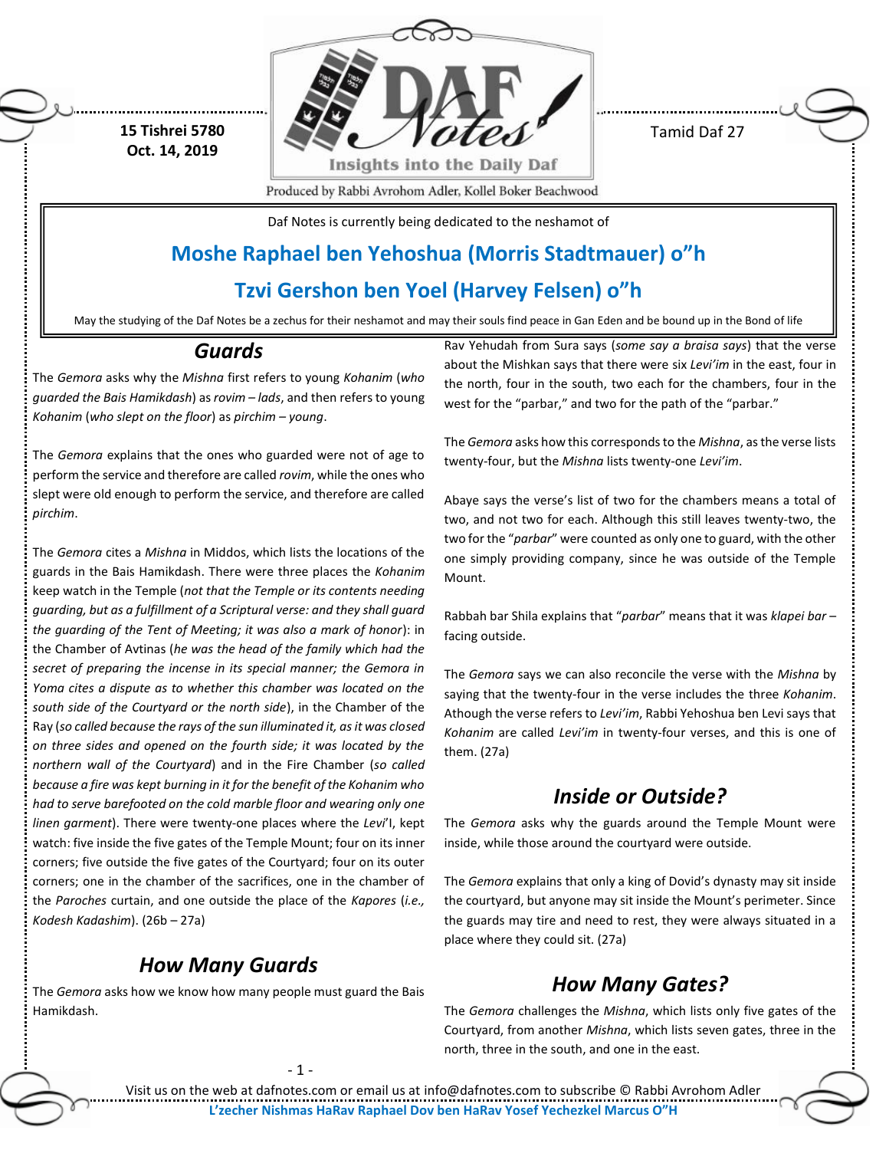**15 Tishrei 5780 Oct. 14, 2019**



Tamid Daf 27

Produced by Rabbi Avrohom Adler, Kollel Boker Beachwood

Daf Notes is currently being dedicated to the neshamot of

## **Moshe Raphael ben Yehoshua (Morris Stadtmauer) o"h**

### **Tzvi Gershon ben Yoel (Harvey Felsen) o"h**

May the studying of the Daf Notes be a zechus for their neshamot and may their souls find peace in Gan Eden and be bound up in the Bond of life

#### *Guards*

The *Gemora* asks why the *Mishna* first refers to young *Kohanim* (*who guarded the Bais Hamikdash*) as *rovim – lads*, and then refers to young *Kohanim* (*who slept on the floor*) as *pirchim – young*.

The *Gemora* explains that the ones who guarded were not of age to perform the service and therefore are called *rovim*, while the ones who slept were old enough to perform the service, and therefore are called *pirchim*.

The *Gemora* cites a *Mishna* in Middos, which lists the locations of the guards in the Bais Hamikdash. There were three places the *Kohanim* keep watch in the Temple (*not that the Temple or its contents needing guarding, but as a fulfillment of a Scriptural verse: and they shall guard the guarding of the Tent of Meeting; it was also a mark of honor*): in the Chamber of Avtinas (*he was the head of the family which had the secret of preparing the incense in its special manner; the Gemora in Yoma cites a dispute as to whether this chamber was located on the south side of the Courtyard or the north side*), in the Chamber of the Ray (*so called because the rays of the sun illuminated it, as it was closed on three sides and opened on the fourth side; it was located by the northern wall of the Courtyard*) and in the Fire Chamber (*so called because a fire was kept burning in it for the benefit of the Kohanim who had to serve barefooted on the cold marble floor and wearing only one linen garment*). There were twenty-one places where the *Levi*'I, kept watch: five inside the five gates of the Temple Mount; four on its inner corners; five outside the five gates of the Courtyard; four on its outer corners; one in the chamber of the sacrifices, one in the chamber of the *Paroches* curtain, and one outside the place of the *Kapores* (*i.e., Kodesh Kadashim*). (26b – 27a)

## *How Many Guards*

The *Gemora* asks how we know how many people must guard the Bais Hamikdash.

Rav Yehudah from Sura says (*some say a braisa says*) that the verse about the Mishkan says that there were six *Levi'im* in the east, four in the north, four in the south, two each for the chambers, four in the west for the "parbar," and two for the path of the "parbar."

The *Gemora* asks how this corresponds to the *Mishna*, as the verse lists twenty-four, but the *Mishna* lists twenty-one *Levi'im*.

Abaye says the verse's list of two for the chambers means a total of two, and not two for each. Although this still leaves twenty-two, the two for the "*parbar*" were counted as only one to guard, with the other one simply providing company, since he was outside of the Temple Mount.

Rabbah bar Shila explains that "*parbar*" means that it was *klapei bar* – facing outside.

The *Gemora* says we can also reconcile the verse with the *Mishna* by saying that the twenty-four in the verse includes the three *Kohanim*. Athough the verse refers to *Levi'im*, Rabbi Yehoshua ben Levi says that *Kohanim* are called *Levi'im* in twenty-four verses, and this is one of them. (27a)

## *Inside or Outside?*

The *Gemora* asks why the guards around the Temple Mount were inside, while those around the courtyard were outside.

The *Gemora* explains that only a king of Dovid's dynasty may sit inside the courtyard, but anyone may sit inside the Mount's perimeter. Since the guards may tire and need to rest, they were always situated in a place where they could sit. (27a)

## *How Many Gates?*

The *Gemora* challenges the *Mishna*, which lists only five gates of the Courtyard, from another *Mishna*, which lists seven gates, three in the north, three in the south, and one in the east.

- 1 -

Visit us on the web at dafnotes.com or email us at [info@dafnotes.com](mailto:info@dafnotes.com) to subscribe © Rabbi Avrohom Adler **L'zecher Nishmas HaRav Raphael Dov ben HaRav Yosef Yechezkel Marcus O"H**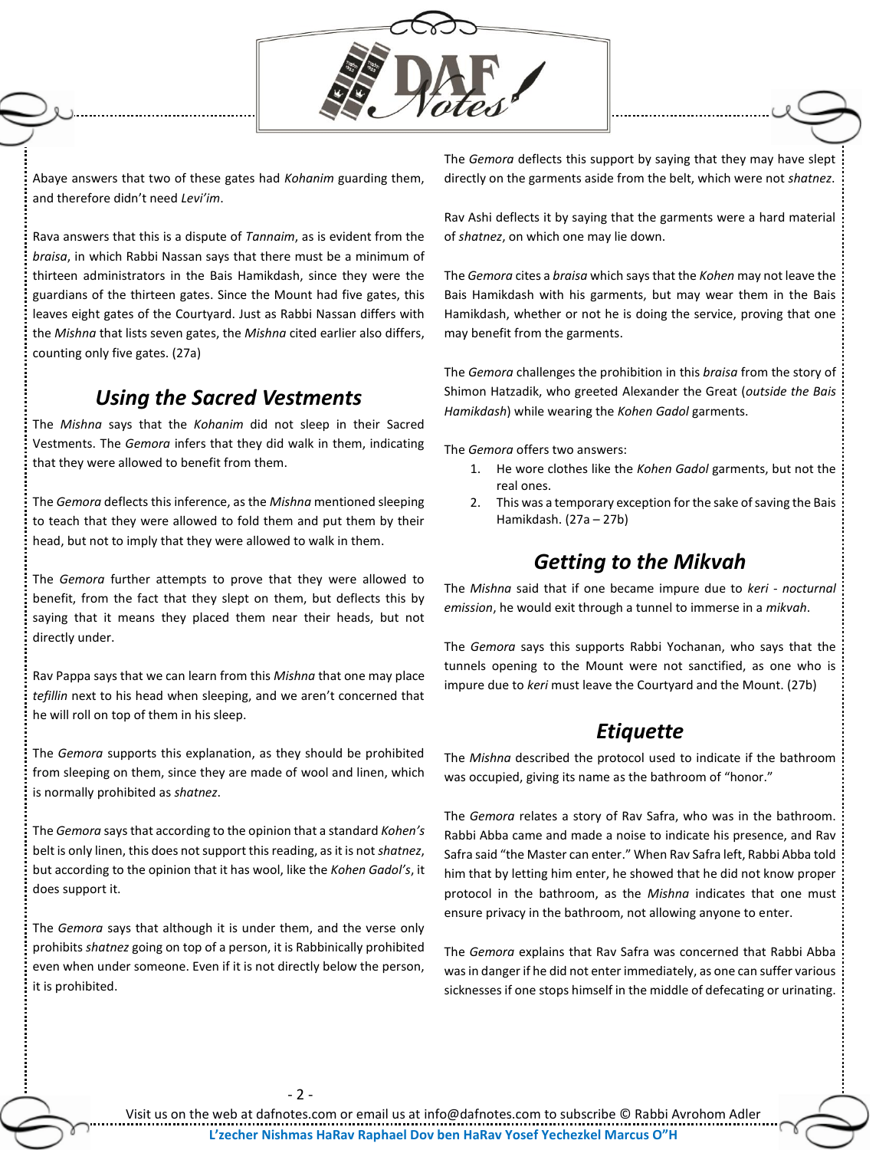

Abaye answers that two of these gates had *Kohanim* guarding them, and therefore didn't need *Levi'im*.

Rava answers that this is a dispute of *Tannaim*, as is evident from the *braisa*, in which Rabbi Nassan says that there must be a minimum of thirteen administrators in the Bais Hamikdash, since they were the guardians of the thirteen gates. Since the Mount had five gates, this leaves eight gates of the Courtyard. Just as Rabbi Nassan differs with the *Mishna* that lists seven gates, the *Mishna* cited earlier also differs, counting only five gates. (27a)

#### *Using the Sacred Vestments*

The *Mishna* says that the *Kohanim* did not sleep in their Sacred Vestments. The *Gemora* infers that they did walk in them, indicating that they were allowed to benefit from them.

The *Gemora* deflects this inference, as the *Mishna* mentioned sleeping to teach that they were allowed to fold them and put them by their head, but not to imply that they were allowed to walk in them.

The *Gemora* further attempts to prove that they were allowed to benefit, from the fact that they slept on them, but deflects this by saying that it means they placed them near their heads, but not directly under.

Rav Pappa says that we can learn from this *Mishna* that one may place *tefillin* next to his head when sleeping, and we aren't concerned that he will roll on top of them in his sleep.

The *Gemora* supports this explanation, as they should be prohibited from sleeping on them, since they are made of wool and linen, which is normally prohibited as *shatnez*.

The *Gemora* says that according to the opinion that a standard *Kohen's* belt is only linen, this does not support this reading, as it is not *shatnez*, but according to the opinion that it has wool, like the *Kohen Gadol's*, it does support it.

The *Gemora* says that although it is under them, and the verse only prohibits *shatnez* going on top of a person, it is Rabbinically prohibited even when under someone. Even if it is not directly below the person, it is prohibited.

The *Gemora* deflects this support by saying that they may have slept directly on the garments aside from the belt, which were not *shatnez*.

Rav Ashi deflects it by saying that the garments were a hard material of *shatnez*, on which one may lie down.

The *Gemora* cites a *braisa* which says that the *Kohen* may not leave the Bais Hamikdash with his garments, but may wear them in the Bais Hamikdash, whether or not he is doing the service, proving that one may benefit from the garments.

The *Gemora* challenges the prohibition in this *braisa* from the story of Shimon Hatzadik, who greeted Alexander the Great (*outside the Bais Hamikdash*) while wearing the *Kohen Gadol* garments.

The *Gemora* offers two answers:

- 1. He wore clothes like the *Kohen Gadol* garments, but not the real ones.
- 2. This was a temporary exception for the sake of saving the Bais Hamikdash. (27a – 27b)

#### *Getting to the Mikvah*

The *Mishna* said that if one became impure due to *keri - nocturnal emission*, he would exit through a tunnel to immerse in a *mikvah*.

The *Gemora* says this supports Rabbi Yochanan, who says that the tunnels opening to the Mount were not sanctified, as one who is impure due to *keri* must leave the Courtyard and the Mount. (27b)

#### *Etiquette*

The *Mishna* described the protocol used to indicate if the bathroom was occupied, giving its name as the bathroom of "honor."

The *Gemora* relates a story of Rav Safra, who was in the bathroom. Rabbi Abba came and made a noise to indicate his presence, and Rav Safra said "the Master can enter." When Rav Safra left, Rabbi Abba told him that by letting him enter, he showed that he did not know proper protocol in the bathroom, as the *Mishna* indicates that one must ensure privacy in the bathroom, not allowing anyone to enter.

The *Gemora* explains that Rav Safra was concerned that Rabbi Abba was in danger if he did not enter immediately, as one can suffer various sicknesses if one stops himself in the middle of defecating or urinating.

- 2 -

Visit us on the web at dafnotes.com or email us at [info@dafnotes.com](mailto:info@dafnotes.com) to subscribe © Rabbi Avrohom Adler **L'zecher Nishmas HaRav Raphael Dov ben HaRav Yosef Yechezkel Marcus O"H**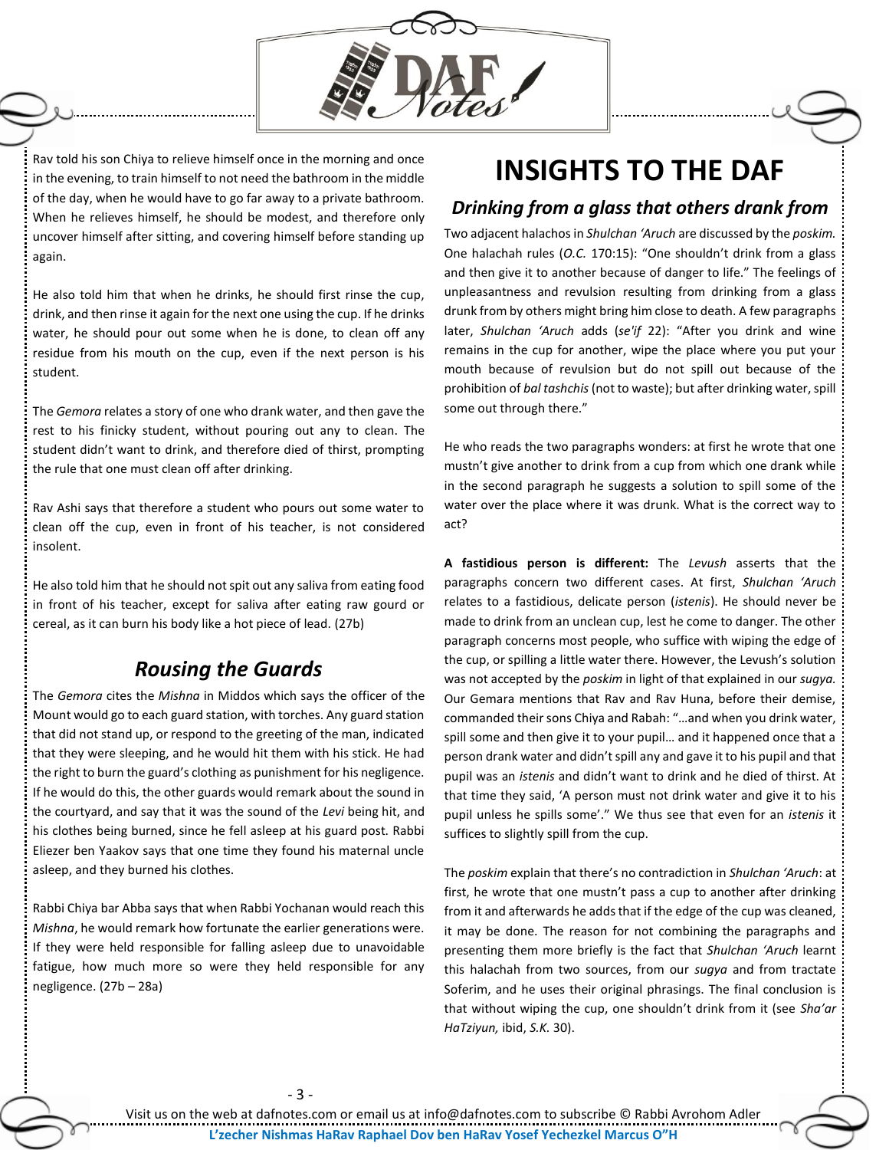

Rav told his son Chiya to relieve himself once in the morning and once in the evening, to train himself to not need the bathroom in the middle of the day, when he would have to go far away to a private bathroom. When he relieves himself, he should be modest, and therefore only uncover himself after sitting, and covering himself before standing up again.

He also told him that when he drinks, he should first rinse the cup, drink, and then rinse it again for the next one using the cup. If he drinks water, he should pour out some when he is done, to clean off any residue from his mouth on the cup, even if the next person is his student.

The *Gemora* relates a story of one who drank water, and then gave the rest to his finicky student, without pouring out any to clean. The student didn't want to drink, and therefore died of thirst, prompting the rule that one must clean off after drinking.

Rav Ashi says that therefore a student who pours out some water to clean off the cup, even in front of his teacher, is not considered insolent.

He also told him that he should not spit out any saliva from eating food in front of his teacher, except for saliva after eating raw gourd or cereal, as it can burn his body like a hot piece of lead. (27b)

#### *Rousing the Guards*

The *Gemora* cites the *Mishna* in Middos which says the officer of the Mount would go to each guard station, with torches. Any guard station that did not stand up, or respond to the greeting of the man, indicated that they were sleeping, and he would hit them with his stick. He had the right to burn the guard's clothing as punishment for his negligence. If he would do this, the other guards would remark about the sound in the courtyard, and say that it was the sound of the *Levi* being hit, and his clothes being burned, since he fell asleep at his guard post. Rabbi Eliezer ben Yaakov says that one time they found his maternal uncle asleep, and they burned his clothes.

Rabbi Chiya bar Abba says that when Rabbi Yochanan would reach this *Mishna*, he would remark how fortunate the earlier generations were. If they were held responsible for falling asleep due to unavoidable fatigue, how much more so were they held responsible for any negligence. (27b – 28a)

## **INSIGHTS TO THE DAF**

#### *Drinking from a glass that others drank from*

Two adjacent halachos in *Shulchan 'Aruch* are discussed by the *poskim.*  One halachah rules (*O.C.* 170:15): "One shouldn't drink from a glass and then give it to another because of danger to life." The feelings of unpleasantness and revulsion resulting from drinking from a glass drunk from by others might bring him close to death. A few paragraphs later, *Shulchan 'Aruch* adds (*se'if* 22): "After you drink and wine remains in the cup for another, wipe the place where you put your mouth because of revulsion but do not spill out because of the prohibition of *bal tashchis* (not to waste); but after drinking water, spill some out through there."

He who reads the two paragraphs wonders: at first he wrote that one mustn't give another to drink from a cup from which one drank while in the second paragraph he suggests a solution to spill some of the water over the place where it was drunk. What is the correct way to act?

**A fastidious person is different:** The *Levush* asserts that the paragraphs concern two different cases. At first, *Shulchan 'Aruch*  relates to a fastidious, delicate person (*istenis*). He should never be made to drink from an unclean cup, lest he come to danger. The other paragraph concerns most people, who suffice with wiping the edge of the cup, or spilling a little water there. However, the Levush's solution was not accepted by the *poskim* in light of that explained in our *sugya.*  Our Gemara mentions that Rav and Rav Huna, before their demise, commanded their sons Chiya and Rabah: "…and when you drink water, spill some and then give it to your pupil… and it happened once that a person drank water and didn't spill any and gave it to his pupil and that pupil was an *istenis* and didn't want to drink and he died of thirst. At that time they said, 'A person must not drink water and give it to his pupil unless he spills some'." We thus see that even for an *istenis* it suffices to slightly spill from the cup.

The *poskim* explain that there's no contradiction in *Shulchan 'Aruch*: at first, he wrote that one mustn't pass a cup to another after drinking from it and afterwards he adds that if the edge of the cup was cleaned, it may be done. The reason for not combining the paragraphs and presenting them more briefly is the fact that *Shulchan 'Aruch* learnt this halachah from two sources, from our *sugya* and from tractate Soferim, and he uses their original phrasings. The final conclusion is that without wiping the cup, one shouldn't drink from it (see *Sha'ar HaTziyun,* ibid, *S.K.* 30).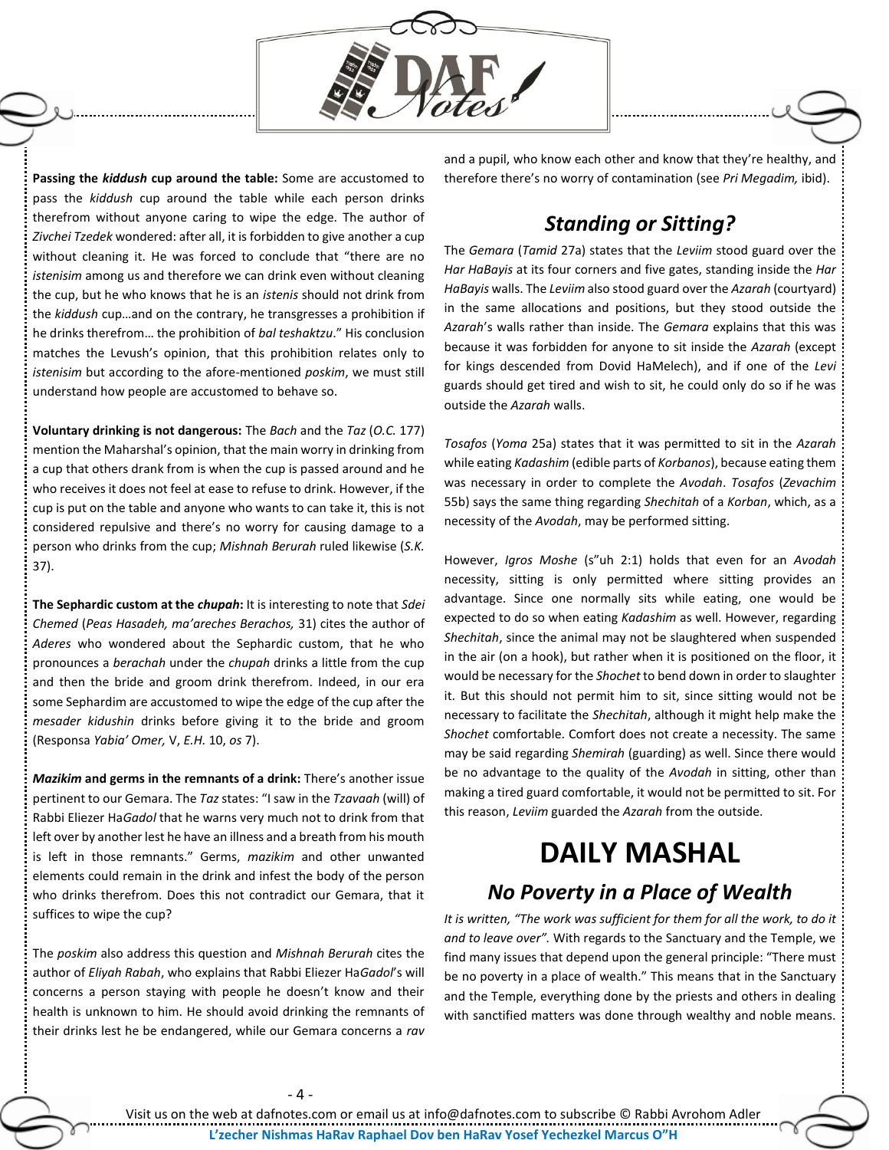

**Passing the** *kiddush* **cup around the table:** Some are accustomed to pass the *kiddush* cup around the table while each person drinks therefrom without anyone caring to wipe the edge. The author of *Zivchei Tzedek* wondered: after all, it is forbidden to give another a cup without cleaning it. He was forced to conclude that "there are no *istenisim* among us and therefore we can drink even without cleaning the cup, but he who knows that he is an *istenis* should not drink from the *kiddush* cup…and on the contrary, he transgresses a prohibition if he drinks therefrom… the prohibition of *bal teshaktzu*." His conclusion matches the Levush's opinion, that this prohibition relates only to *istenisim* but according to the afore-mentioned *poskim*, we must still understand how people are accustomed to behave so.

**Voluntary drinking is not dangerous:** The *Bach* and the *Taz* (*O.C.* 177) mention the Maharshal's opinion, that the main worry in drinking from a cup that others drank from is when the cup is passed around and he who receives it does not feel at ease to refuse to drink. However, if the cup is put on the table and anyone who wants to can take it, this is not considered repulsive and there's no worry for causing damage to a person who drinks from the cup; *Mishnah Berurah* ruled likewise (*S.K.*  37).

**The Sephardic custom at the** *chupah***:** It is interesting to note that *Sdei Chemed* (*Peas Hasadeh, ma'areches Berachos,* 31) cites the author of *Aderes* who wondered about the Sephardic custom, that he who pronounces a *berachah* under the *chupah* drinks a little from the cup and then the bride and groom drink therefrom. Indeed, in our era some Sephardim are accustomed to wipe the edge of the cup after the *mesader kidushin* drinks before giving it to the bride and groom (Responsa *Yabia' Omer,* V, *E.H.* 10, *os* 7).

*Mazikim* **and germs in the remnants of a drink:** There's another issue pertinent to our Gemara. The *Taz* states: "I saw in the *Tzavaah* (will) of Rabbi Eliezer Ha*Gadol* that he warns very much not to drink from that left over by another lest he have an illness and a breath from his mouth is left in those remnants." Germs, *mazikim* and other unwanted elements could remain in the drink and infest the body of the person who drinks therefrom. Does this not contradict our Gemara, that it suffices to wipe the cup?

The *poskim* also address this question and *Mishnah Berurah* cites the author of *Eliyah Rabah*, who explains that Rabbi Eliezer Ha*Gadol*'s will concerns a person staying with people he doesn't know and their health is unknown to him. He should avoid drinking the remnants of their drinks lest he be endangered, while our Gemara concerns a *rav* 

and a pupil, who know each other and know that they're healthy, and therefore there's no worry of contamination (see *Pri Megadim,* ibid).

#### *Standing or Sitting?*

The *Gemara* (*Tamid* 27a) states that the *Leviim* stood guard over the *Har HaBayis* at its four corners and five gates, standing inside the *Har HaBayis* walls. The *Leviim* also stood guard over the *Azarah* (courtyard) in the same allocations and positions, but they stood outside the *Azarah*'s walls rather than inside. The *Gemara* explains that this was because it was forbidden for anyone to sit inside the *Azarah* (except for kings descended from Dovid HaMelech), and if one of the *Levi*  guards should get tired and wish to sit, he could only do so if he was outside the *Azarah* walls.

*Tosafos* (*Yoma* 25a) states that it was permitted to sit in the *Azarah*  while eating *Kadashim* (edible parts of *Korbanos*), because eating them was necessary in order to complete the *Avodah*. *Tosafos* (*Zevachim* 55b) says the same thing regarding *Shechitah* of a *Korban*, which, as a necessity of the *Avodah*, may be performed sitting.

However, *Igros Moshe* (s"uh 2:1) holds that even for an *Avodah* necessity, sitting is only permitted where sitting provides an advantage. Since one normally sits while eating, one would be expected to do so when eating *Kadashim* as well. However, regarding *Shechitah*, since the animal may not be slaughtered when suspended in the air (on a hook), but rather when it is positioned on the floor, it would be necessary for the *Shochet* to bend down in order to slaughter it. But this should not permit him to sit, since sitting would not be necessary to facilitate the *Shechitah*, although it might help make the *Shochet* comfortable. Comfort does not create a necessity. The same may be said regarding *Shemirah* (guarding) as well. Since there would be no advantage to the quality of the *Avodah* in sitting, other than making a tired guard comfortable, it would not be permitted to sit. For this reason, *Leviim* guarded the *Azarah* from the outside.

# **DAILY MASHAL**

## *No Poverty in a Place of Wealth*

*It is written, "The work was sufficient for them for all the work, to do it and to leave over".* With regards to the Sanctuary and the Temple, we find many issues that depend upon the general principle: "There must be no poverty in a place of wealth." This means that in the Sanctuary and the Temple, everything done by the priests and others in dealing with sanctified matters was done through wealthy and noble means.